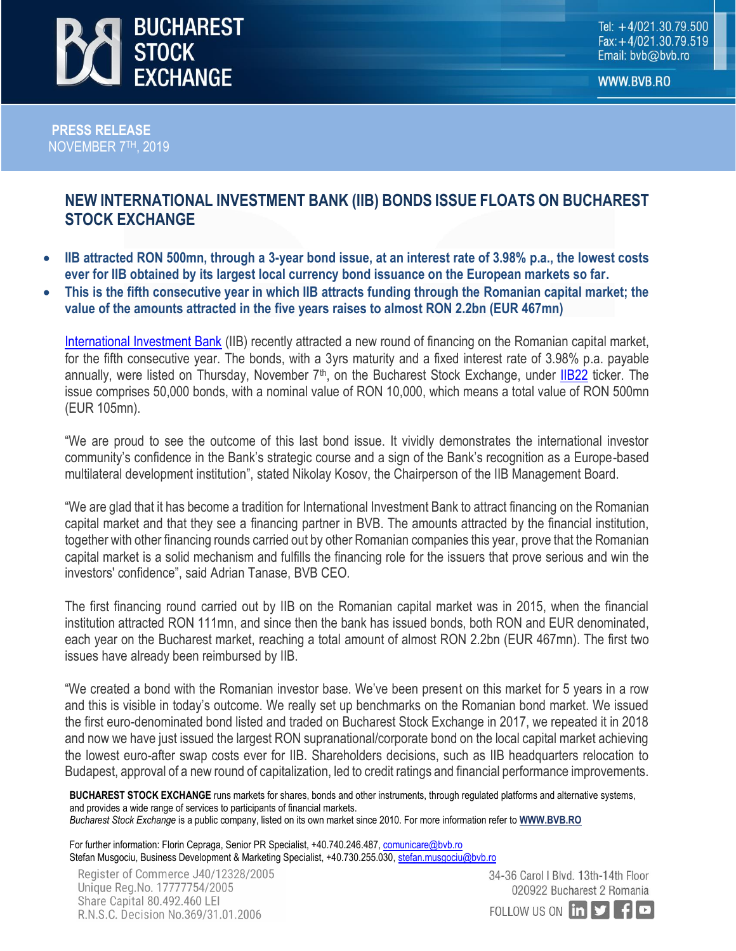

WWW.BVB.RO

 **PRESS RELEASE NOVEMBER 7<sup>TH</sup>, 2019** 

## **NEW INTERNATIONAL INVESTMENT BANK (IIB) BONDS ISSUE FLOATS ON BUCHAREST STOCK EXCHANGE**

- **IIB attracted RON 500mn, through a 3-year bond issue, at an interest rate of 3.98% p.a., the lowest costs ever for IIB obtained by its largest local currency bond issuance on the European markets so far.**
- **This is the fifth consecutive year in which IIB attracts funding through the Romanian capital market; the value of the amounts attracted in the five years raises to almost RON 2.2bn (EUR 467mn)**

[International Investment Bank](https://iib.int/en) (IIB) recently attracted a new round of financing on the Romanian capital market, for the fifth consecutive year. The bonds, with a 3yrs maturity and a fixed interest rate of 3.98% p.a. payable annually, were listed on Thursday, November 7<sup>th</sup>, on the Bucharest Stock Exchange, under [IIB22](http://www.bvb.ro/FinancialInstruments/Details/FinancialInstrumentsDetails.aspx?s=IIB22) ticker. The issue comprises 50,000 bonds, with a nominal value of RON 10,000, which means a total value of RON 500mn (EUR 105mn).

"We are proud to see the outcome of this last bond issue. It vividly demonstrates the international investor community's confidence in the Bank's strategic course and a sign of the Bank's recognition as a Europe-based multilateral development institution", stated Nikolay Kosov, the Chairperson of the IIB Management Board.

"We are glad that it has become a tradition for International Investment Bank to attract financing on the Romanian capital market and that they see a financing partner in BVB. The amounts attracted by the financial institution, together with other financing rounds carried out by other Romanian companies this year, prove that the Romanian capital market is a solid mechanism and fulfills the financing role for the issuers that prove serious and win the investors' confidence", said Adrian Tanase, BVB CEO.

The first financing round carried out by IIB on the Romanian capital market was in 2015, when the financial institution attracted RON 111mn, and since then the bank has issued bonds, both RON and EUR denominated, each year on the Bucharest market, reaching a total amount of almost RON 2.2bn (EUR 467mn). The first two issues have already been reimbursed by IIB.

"We created a bond with the Romanian investor base. We've been present on this market for 5 years in a row and this is visible in today's outcome. We really set up benchmarks on the Romanian bond market. We issued the first euro-denominated bond listed and traded on Bucharest Stock Exchange in 2017, we repeated it in 2018 and now we have just issued the largest RON supranational/corporate bond on the local capital market achieving the lowest euro-after swap costs ever for IIB. Shareholders decisions, such as IIB headquarters relocation to Budapest, approval of a new round of capitalization, led to credit ratings and financial performance improvements.

**BUCHAREST STOCK EXCHANGE** runs markets for shares, bonds and other instruments, through regulated platforms and alternative systems, and provides a wide range of services to participants of financial markets. *Bucharest Stock Exchange* is a public company, listed on its own market since 2010. For more information refer to **[WWW.BVB.RO](http://www.bvb.ro/)**

For further information: Florin Cepraga, Senior PR Specialist, +40.740.246.487, [comunicare@bvb.ro](mailto:comunicare@bvb.ro) Stefan Musgociu, Business Development & Marketing Specialist, +40.730.255.030[, stefan.musgociu@bvb.ro](mailto:stefan.musgociu@bvb.ro)

34-36 Carol I Blvd. 13th-14th Floor 020922 Bucharest 2 Romania